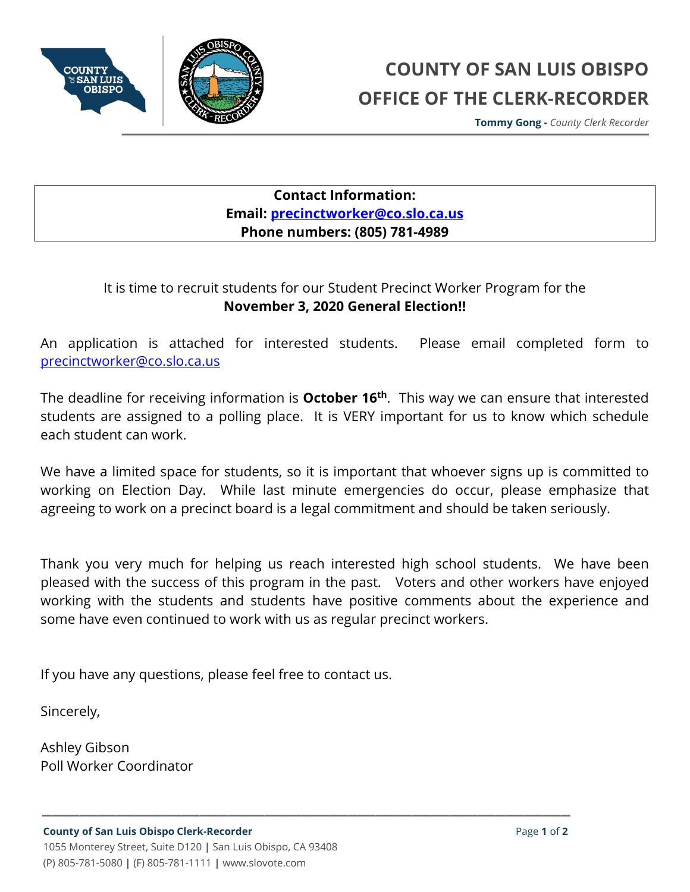

**Tommy Gong -** *County Clerk Recorder*

## **Contact Information: Email: [precinctworker@co.slo.ca.us](mailto:precinctworker@co.slo.ca.us) Phone numbers: (805) 781-4989**

## It is time to recruit students for our Student Precinct Worker Program for the **November 3, 2020 General Election!!**

An application is attached for interested students. Please email completed form to [precinctworker@co.slo.ca.us](mailto:precinctworker@co.slo.ca.us)

The deadline for receiving information is **October 16th**. This way we can ensure that interested students are assigned to a polling place. It is VERY important for us to know which schedule each student can work.

We have a limited space for students, so it is important that whoever signs up is committed to working on Election Day. While last minute emergencies do occur, please emphasize that agreeing to work on a precinct board is a legal commitment and should be taken seriously.

Thank you very much for helping us reach interested high school students. We have been pleased with the success of this program in the past. Voters and other workers have enjoyed working with the students and students have positive comments about the experience and some have even continued to work with us as regular precinct workers.

**\_\_\_\_\_\_\_\_\_\_\_\_\_\_\_\_\_\_\_\_\_\_\_\_\_\_\_\_\_\_\_\_\_\_\_\_\_\_\_\_\_\_\_\_\_\_\_\_\_\_\_\_\_\_\_\_\_**

If you have any questions, please feel free to contact us.

Sincerely,

Ashley Gibson Poll Worker Coordinator